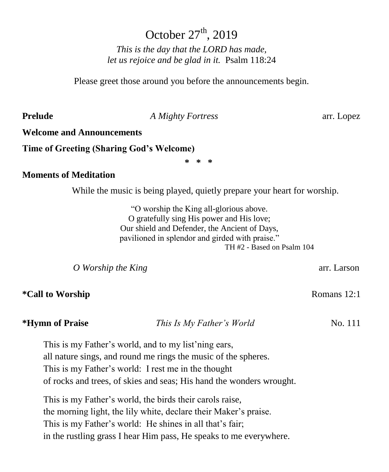# October  $27<sup>th</sup>$ , 2019

*This is the day that the LORD has made, let us rejoice and be glad in it.* Psalm 118:24

Please greet those around you before the announcements begin.

**Prelude** *A Mighty Fortress* arr. Lopez

## **Welcome and Announcements**

**Time of Greeting (Sharing God's Welcome)**

**\* \* \***

### **Moments of Meditation**

While the music is being played, quietly prepare your heart for worship.

"O worship the King all-glorious above. O gratefully sing His power and His love; Our shield and Defender, the Ancient of Days, pavilioned in splendor and girded with praise." TH #2 - Based on Psalm 104

*O* Worship the King **arrival is a contract to the King and S** and *arrival arrival arrival arrival arrival arrival arrival arrival arrival arrival arrival arrival arrival arrival arrival arrival arrival arrival arrival ar* 

**\*Call to Worship**  Romans 12:1

**\*Hymn of Praise** *This Is My Father's World* No. 111

This is my Father's world, and to my list'ning ears, all nature sings, and round me rings the music of the spheres. This is my Father's world: I rest me in the thought of rocks and trees, of skies and seas; His hand the wonders wrought.

This is my Father's world, the birds their carols raise, the morning light, the lily white, declare their Maker's praise. This is my Father's world: He shines in all that's fair; in the rustling grass I hear Him pass, He speaks to me everywhere.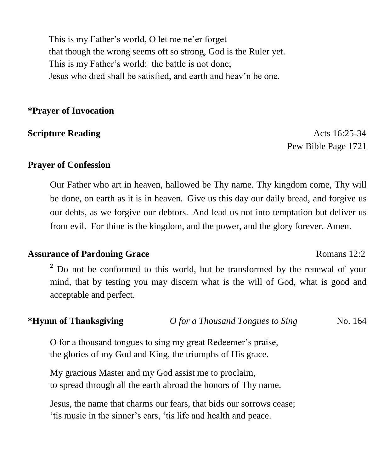This is my Father's world, O let me ne'er forget that though the wrong seems oft so strong, God is the Ruler yet. This is my Father's world: the battle is not done; Jesus who died shall be satisfied, and earth and heav'n be one.

## **\*Prayer of Invocation**

**Scripture Reading**  $\alpha$  and  $\alpha$  and  $\alpha$  and  $\alpha$  and  $\alpha$  and  $\alpha$  and  $\alpha$  and  $\alpha$  and  $\alpha$  and  $\alpha$  and  $\alpha$  and  $\alpha$  and  $\alpha$  and  $\alpha$  and  $\alpha$  and  $\alpha$  and  $\alpha$  and  $\alpha$  and  $\alpha$  and  $\alpha$  and  $\alpha$  and  $\alpha$  and  $\alpha$ Pew Bible Page 1721

## **Prayer of Confession**

Our Father who art in heaven, hallowed be Thy name. Thy kingdom come, Thy will be done, on earth as it is in heaven. Give us this day our daily bread, and forgive us our debts, as we forgive our debtors. And lead us not into temptation but deliver us from evil. For thine is the kingdom, and the power, and the glory forever. Amen.

### **Assurance of Pardoning Grace** Romans 12:2

**<sup>2</sup>** Do not be conformed to this world, but be transformed by the renewal of your mind, that by testing you may discern what is the will of God, what is good and acceptable and perfect.

**\*Hymn of Thanksgiving** *O for a Thousand Tongues to Sing* No. 164

O for a thousand tongues to sing my great Redeemer's praise, the glories of my God and King, the triumphs of His grace.

My gracious Master and my God assist me to proclaim, to spread through all the earth abroad the honors of Thy name.

Jesus, the name that charms our fears, that bids our sorrows cease; 'tis music in the sinner's ears, 'tis life and health and peace.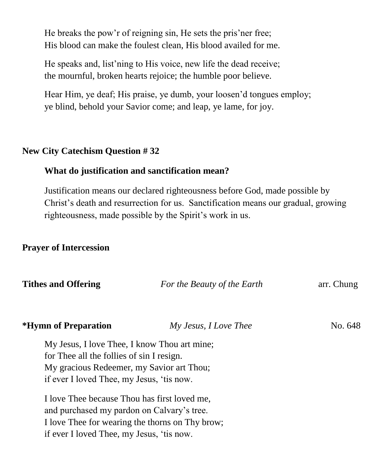He breaks the pow'r of reigning sin, He sets the pris'ner free; His blood can make the foulest clean, His blood availed for me.

He speaks and, list'ning to His voice, new life the dead receive; the mournful, broken hearts rejoice; the humble poor believe.

Hear Him, ye deaf; His praise, ye dumb, your loosen'd tongues employ; ye blind, behold your Savior come; and leap, ye lame, for joy.

## **New City Catechism Question # 32**

### **What do justification and sanctification mean?**

Justification means our declared righteousness before God, made possible by Christ's death and resurrection for us. Sanctification means our gradual, growing righteousness, made possible by the Spirit's work in us.

## **Prayer of Intercession**

| <b>Tithes and Offering</b>                      | For the Beauty of the Earth | arr. Chung |  |
|-------------------------------------------------|-----------------------------|------------|--|
| <i><b>*Hymn of Preparation</b></i>              | My Jesus, I Love Thee       | No. 648    |  |
| My Jesus, I love Thee, I know Thou art mine;    |                             |            |  |
| for Thee all the follies of sin I resign.       |                             |            |  |
| My gracious Redeemer, my Savior art Thou;       |                             |            |  |
| if ever I loved Thee, my Jesus, 'tis now.       |                             |            |  |
| I love Thee because Thou has first loved me,    |                             |            |  |
| and purchased my pardon on Calvary's tree.      |                             |            |  |
| I love Thee for wearing the thorns on Thy brow; |                             |            |  |
| if ever I loved Thee, my Jesus, 'tis now.       |                             |            |  |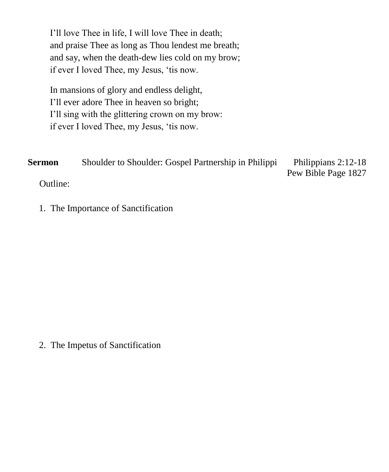I'll love Thee in life, I will love Thee in death; and praise Thee as long as Thou lendest me breath; and say, when the death-dew lies cold on my brow; if ever I loved Thee, my Jesus, 'tis now.

In mansions of glory and endless delight, I'll ever adore Thee in heaven so bright; I'll sing with the glittering crown on my brow: if ever I loved Thee, my Jesus, 'tis now.

**Sermon** Shoulder to Shoulder: Gospel Partnership in Philippi Philippians 2:12-18 Pew Bible Page 1827 Outline:

1. The Importance of Sanctification

2. The Impetus of Sanctification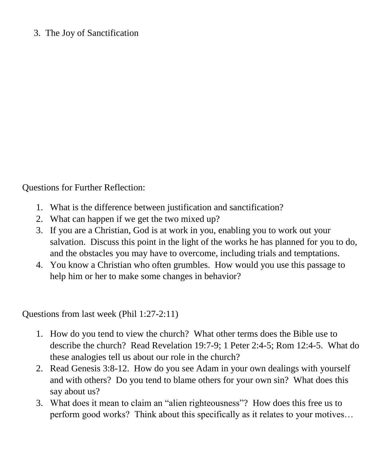# 3. The Joy of Sanctification

Questions for Further Reflection:

- 1. What is the difference between justification and sanctification?
- 2. What can happen if we get the two mixed up?
- 3. If you are a Christian, God is at work in you, enabling you to work out your salvation. Discuss this point in the light of the works he has planned for you to do, and the obstacles you may have to overcome, including trials and temptations.
- 4. You know a Christian who often grumbles. How would you use this passage to help him or her to make some changes in behavior?

Questions from last week (Phil 1:27-2:11)

- 1. How do you tend to view the church? What other terms does the Bible use to describe the church? Read Revelation 19:7-9; 1 Peter 2:4-5; Rom 12:4-5. What do these analogies tell us about our role in the church?
- 2. Read Genesis 3:8-12. How do you see Adam in your own dealings with yourself and with others? Do you tend to blame others for your own sin? What does this say about us?
- 3. What does it mean to claim an "alien righteousness"? How does this free us to perform good works? Think about this specifically as it relates to your motives…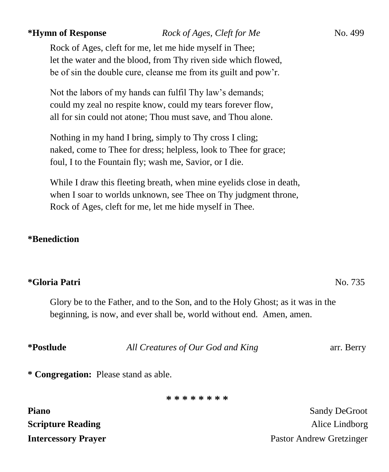### *\*Hymn of Response Rock of Ages, Cleft for Me* No. 499

Rock of Ages, cleft for me, let me hide myself in Thee; let the water and the blood, from Thy riven side which flowed, be of sin the double cure, cleanse me from its guilt and pow'r.

Not the labors of my hands can fulfil Thy law's demands; could my zeal no respite know, could my tears forever flow, all for sin could not atone; Thou must save, and Thou alone.

Nothing in my hand I bring, simply to Thy cross I cling; naked, come to Thee for dress; helpless, look to Thee for grace; foul, I to the Fountain fly; wash me, Savior, or I die.

While I draw this fleeting breath, when mine eyelids close in death, when I soar to worlds unknown, see Thee on Thy judgment throne, Rock of Ages, cleft for me, let me hide myself in Thee.

### **\*Benediction**

# **\*Gloria Patri** No. 735

Glory be to the Father, and to the Son, and to the Holy Ghost; as it was in the beginning, is now, and ever shall be, world without end. Amen, amen.

| <i>*Postlude</i> | All Creatures of Our God and King     | arr. Berry |
|------------------|---------------------------------------|------------|
|                  | * Congregation: Please stand as able. |            |

**\* \* \* \* \* \* \* \***

| <b>Piano</b>               | <b>Sandy DeGroot</b>     |
|----------------------------|--------------------------|
| <b>Scripture Reading</b>   | Alice Lindborg           |
| <b>Intercessory Prayer</b> | Pastor Andrew Gretzinger |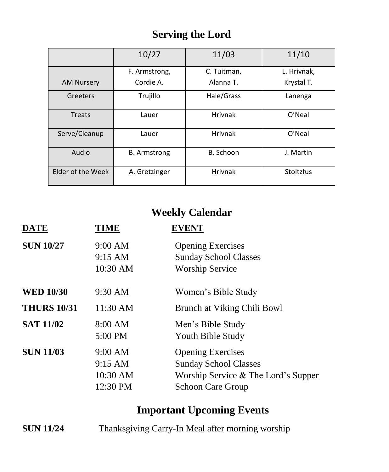# **Serving the Lord**

|                   | 10/27               | 11/03          | 11/10       |
|-------------------|---------------------|----------------|-------------|
|                   | F. Armstrong,       | C. Tuitman,    | L. Hrivnak, |
| <b>AM Nursery</b> | Cordie A.           | Alanna T.      | Krystal T.  |
| Greeters          | Trujillo            | Hale/Grass     | Lanenga     |
| <b>Treats</b>     | Lauer               | <b>Hrivnak</b> | O'Neal      |
| Serve/Cleanup     | Lauer               | <b>Hrivnak</b> | O'Neal      |
| Audio             | <b>B.</b> Armstrong | B. Schoon      | J. Martin   |
| Elder of the Week | A. Gretzinger       | <b>Hrivnak</b> | Stoltzfus   |

# **Weekly Calendar**

| <b>DATE</b>        | <b>TIME</b>                                | <b>EVENT</b>                                                                                                                |
|--------------------|--------------------------------------------|-----------------------------------------------------------------------------------------------------------------------------|
| <b>SUN 10/27</b>   | 9:00 AM<br>9:15 AM<br>10:30 AM             | <b>Opening Exercises</b><br><b>Sunday School Classes</b><br><b>Worship Service</b>                                          |
| <b>WED 10/30</b>   | 9:30 AM                                    | Women's Bible Study                                                                                                         |
| <b>THURS 10/31</b> | 11:30 AM                                   | Brunch at Viking Chili Bowl                                                                                                 |
| <b>SAT 11/02</b>   | 8:00 AM<br>5:00 PM                         | Men's Bible Study<br>Youth Bible Study                                                                                      |
| <b>SUN 11/03</b>   | 9:00 AM<br>9:15 AM<br>10:30 AM<br>12:30 PM | <b>Opening Exercises</b><br><b>Sunday School Classes</b><br>Worship Service & The Lord's Supper<br><b>Schoon Care Group</b> |

# **Important Upcoming Events**

**SUN 11/24** Thanksgiving Carry-In Meal after morning worship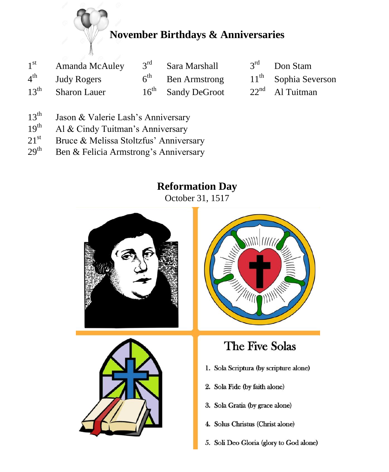# **November Birthdays & Anniversaries**

| $1^{\rm st}$     | Amanda McAuley      | 3 <sup>rd</sup> Sara Marshall | $3rd$ Don Stam         |
|------------------|---------------------|-------------------------------|------------------------|
|                  | $4th$ Judy Rogers   | $6th$ Ben Armstrong           | $11th$ Sophia Severson |
| $13^{\text{th}}$ | <b>Sharon Lauer</b> | $16th$ Sandy DeGroot          | $22nd$ Al Tuitman      |

- 13<sup>th</sup> Jason & Valerie Lash's Anniversary<br>19<sup>th</sup> Al & Cindy Tuitman's Anniversary
- Al & Cindy Tuitman's Anniversary
- 21<sup>st</sup> Bruce & Melissa Stoltzfus' Anniversary<br>29<sup>th</sup> Ben & Felicia Armstrong's Anniversary
- Ben & Felicia Armstrong's Anniversary

# **Reformation Day**

October 31, 1517